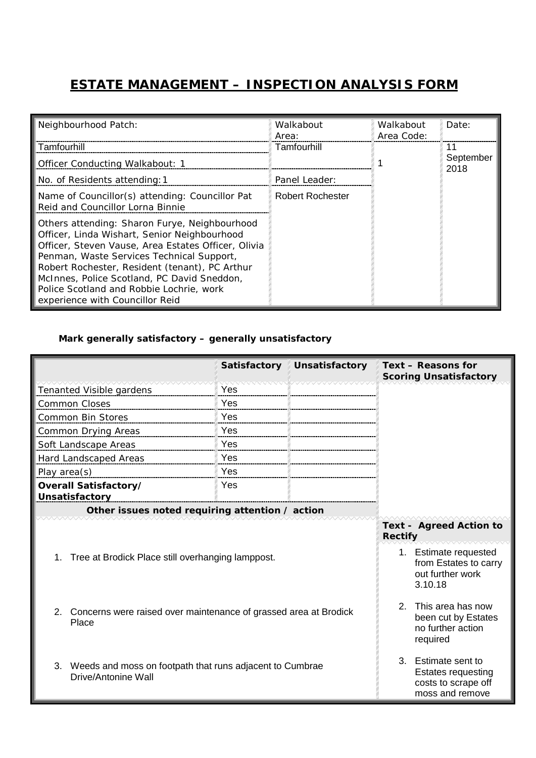## **ESTATE MANAGEMENT – INSPECTION ANALYSIS FORM**

| Neighbourhood Patch:                                                                                                                                                                                                                                                                                                                                                              | Walkabout<br>Area:      | Walkabout<br>Area Code: | Date:             |
|-----------------------------------------------------------------------------------------------------------------------------------------------------------------------------------------------------------------------------------------------------------------------------------------------------------------------------------------------------------------------------------|-------------------------|-------------------------|-------------------|
| Tamfourhill                                                                                                                                                                                                                                                                                                                                                                       | Tamfourhill             |                         | 11                |
| <b>Officer Conducting Walkabout: 1</b>                                                                                                                                                                                                                                                                                                                                            |                         |                         | September<br>2018 |
| No. of Residents attending: 1                                                                                                                                                                                                                                                                                                                                                     | Panel Leader:           |                         |                   |
| Name of Councillor(s) attending: Councillor Pat<br>Reid and Councillor Lorna Binnie                                                                                                                                                                                                                                                                                               | <b>Robert Rochester</b> |                         |                   |
| Others attending: Sharon Furye, Neighbourhood<br>Officer, Linda Wishart, Senior Neighbourhood<br>Officer, Steven Vause, Area Estates Officer, Olivia<br>Penman, Waste Services Technical Support,<br>Robert Rochester, Resident (tenant), PC Arthur<br>McInnes, Police Scotland, PC David Sneddon,<br>Police Scotland and Robbie Lochrie, work<br>experience with Councillor Reid |                         |                         |                   |

## *Mark generally satisfactory – generally unsatisfactory*

|                                                                                       | Satisfactory | Unsatisfactory                                                                             | Text - Reasons for<br><b>Scoring Unsatisfactory</b> |
|---------------------------------------------------------------------------------------|--------------|--------------------------------------------------------------------------------------------|-----------------------------------------------------|
| Tenanted Visible gardens                                                              | Yes          |                                                                                            |                                                     |
| <b>Common Closes</b>                                                                  | Yes          |                                                                                            |                                                     |
| Common Bin Stores                                                                     | Yes          |                                                                                            |                                                     |
| <b>Common Drying Areas</b>                                                            | Yes          |                                                                                            |                                                     |
| Soft Landscape Areas                                                                  | Yes          |                                                                                            |                                                     |
| Hard Landscaped Areas                                                                 | Yes          |                                                                                            |                                                     |
| Play area(s)                                                                          | Yes          |                                                                                            |                                                     |
| Overall Satisfactory/<br>Unsatisfactory                                               | Yes          |                                                                                            |                                                     |
| Other issues noted requiring attention / action                                       |              |                                                                                            |                                                     |
|                                                                                       |              |                                                                                            | <b>Text - Agreed Action to</b><br><b>Rectify</b>    |
| 1. Tree at Brodick Place still overhanging lamppost.                                  |              | 1. Estimate requested<br>from Estates to carry<br>out further work<br>3.10.18              |                                                     |
| 2. Concerns were raised over maintenance of grassed area at Brodick<br>Place          |              | This area has now<br>$\mathcal{P}$<br>been cut by Estates<br>no further action<br>required |                                                     |
| 3.<br>Weeds and moss on footpath that runs adjacent to Cumbrae<br>Drive/Antonine Wall |              | 3. Estimate sent to<br><b>Estates requesting</b><br>costs to scrape off<br>moss and remove |                                                     |